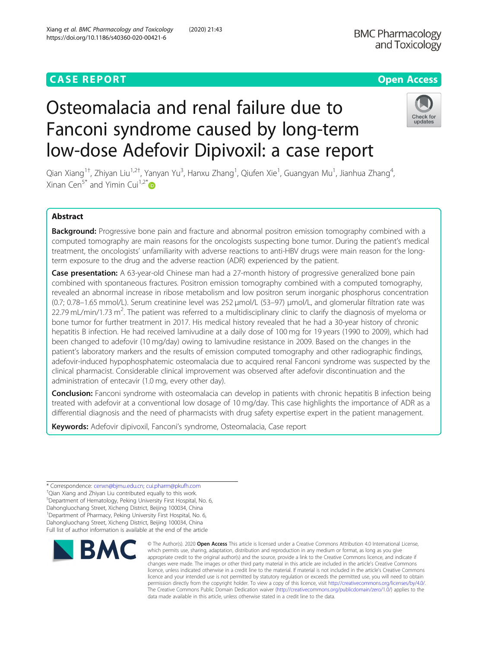# **CASE REPORT CASE ACCESS**

Xiang et al. BMC Pharmacology and Toxicology (2020) 21:43

https://doi.org/10.1186/s40360-020-00421-6

**BMC Pharmacology** and Toxicology



# Osteomalacia and renal failure due to Fanconi syndrome caused by long-term low-dose Adefovir Dipivoxil: a case report

Qian Xiang<sup>1†</sup>, Zhiyan Liu<sup>1,2†</sup>, Yanyan Yu<sup>3</sup>, Hanxu Zhang<sup>1</sup>, Qiufen Xie<sup>1</sup>, Guangyan Mu<sup>1</sup>, Jianhua Zhang<sup>4</sup> , Xinan Cen<sup>5\*</sup> and Yimin Cui<sup>1,2\*</sup> $\bullet$ 

## Abstract

Background: Progressive bone pain and fracture and abnormal positron emission tomography combined with a computed tomography are main reasons for the oncologists suspecting bone tumor. During the patient's medical treatment, the oncologists' unfamiliarity with adverse reactions to anti-HBV drugs were main reason for the longterm exposure to the drug and the adverse reaction (ADR) experienced by the patient.

Case presentation: A 63-year-old Chinese man had a 27-month history of progressive generalized bone pain combined with spontaneous fractures. Positron emission tomography combined with a computed tomography, revealed an abnormal increase in ribose metabolism and low positron serum inorganic phosphorus concentration (0.7; 0.78–1.65 mmol/L). Serum creatinine level was 252 μmol/L (53–97) μmol/L, and glomerular filtration rate was 22.79 mL/min/1.73 m<sup>2</sup>. The patient was referred to a multidisciplinary clinic to clarify the diagnosis of myeloma or bone tumor for further treatment in 2017. His medical history revealed that he had a 30-year history of chronic hepatitis B infection. He had received lamivudine at a daily dose of 100 mg for 19 years (1990 to 2009), which had been changed to adefovir (10 mg/day) owing to lamivudine resistance in 2009. Based on the changes in the patient's laboratory markers and the results of emission computed tomography and other radiographic findings, adefovir-induced hypophosphatemic osteomalacia due to acquired renal Fanconi syndrome was suspected by the clinical pharmacist. Considerable clinical improvement was observed after adefovir discontinuation and the administration of entecavir (1.0 mg, every other day).

Conclusion: Fanconi syndrome with osteomalacia can develop in patients with chronic hepatitis B infection being treated with adefovir at a conventional low dosage of 10 mg/day. This case highlights the importance of ADR as a differential diagnosis and the need of pharmacists with drug safety expertise expert in the patient management.

Keywords: Adefovir dipivoxil, Fanconi's syndrome, Osteomalacia, Case report

5 Department of Hematology, Peking University First Hospital, No. 6, Dahongluochang Street, Xicheng District, Beijing 100034, China <sup>1</sup>Department of Pharmacy, Peking University First Hospital, No. 6, Dahongluochang Street, Xicheng District, Beijing 100034, China Full list of author information is available at the end of the article



<sup>©</sup> The Author(s), 2020 **Open Access** This article is licensed under a Creative Commons Attribution 4.0 International License, which permits use, sharing, adaptation, distribution and reproduction in any medium or format, as long as you give appropriate credit to the original author(s) and the source, provide a link to the Creative Commons licence, and indicate if changes were made. The images or other third party material in this article are included in the article's Creative Commons licence, unless indicated otherwise in a credit line to the material. If material is not included in the article's Creative Commons licence and your intended use is not permitted by statutory regulation or exceeds the permitted use, you will need to obtain permission directly from the copyright holder. To view a copy of this licence, visit [http://creativecommons.org/licenses/by/4.0/.](http://creativecommons.org/licenses/by/4.0/) The Creative Commons Public Domain Dedication waiver [\(http://creativecommons.org/publicdomain/zero/1.0/](http://creativecommons.org/publicdomain/zero/1.0/)) applies to the data made available in this article, unless otherwise stated in a credit line to the data.

<sup>\*</sup> Correspondence: [cenxn@bjmu.edu.cn;](mailto:cenxn@bjmu.edu.cn) [cui.pharm@pkufh.com](mailto:cui.pharm@pkufh.com) †

<sup>&</sup>lt;sup>+</sup>Qian Xiang and Zhiyan Liu contributed equally to this work.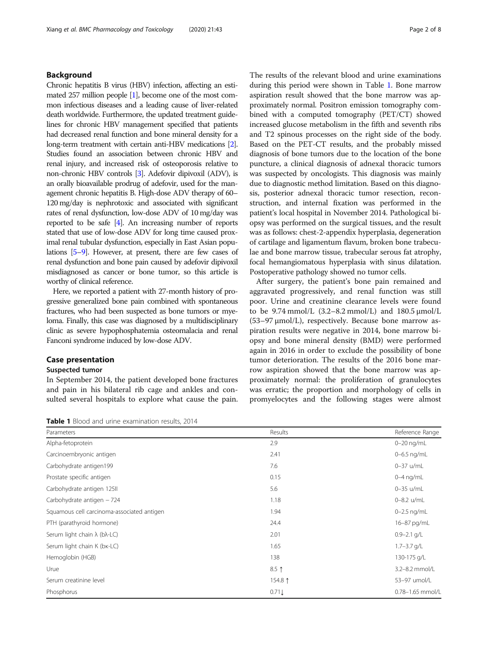#### Background

Chronic hepatitis B virus (HBV) infection, affecting an estimated 257 million people [\[1\]](#page-6-0), become one of the most common infectious diseases and a leading cause of liver-related death worldwide. Furthermore, the updated treatment guidelines for chronic HBV management specified that patients had decreased renal function and bone mineral density for a long-term treatment with certain anti-HBV medications [\[2\]](#page-6-0). Studies found an association between chronic HBV and renal injury, and increased risk of osteoporosis relative to non-chronic HBV controls [[3](#page-6-0)]. Adefovir dipivoxil (ADV), is an orally bioavailable prodrug of adefovir, used for the management chronic hepatitis B. High-dose ADV therapy of 60– 120 mg/day is nephrotoxic and associated with significant rates of renal dysfunction, low-dose ADV of 10 mg/day was reported to be safe [\[4\]](#page-6-0). An increasing number of reports stated that use of low-dose ADV for long time caused proximal renal tubular dysfunction, especially in East Asian populations [\[5](#page-6-0)–[9](#page-6-0)]. However, at present, there are few cases of renal dysfunction and bone pain caused by adefovir dipivoxil misdiagnosed as cancer or bone tumor, so this article is worthy of clinical reference.

Here, we reported a patient with 27-month history of progressive generalized bone pain combined with spontaneous fractures, who had been suspected as bone tumors or myeloma. Finally, this case was diagnosed by a multidisciplinary clinic as severe hypophosphatemia osteomalacia and renal Fanconi syndrome induced by low-dose ADV.

#### Case presentation

#### Suspected tumor

In September 2014, the patient developed bone fractures and pain in his bilateral rib cage and ankles and consulted several hospitals to explore what cause the pain.

Table 1 Blood and urine examination results, 2014

The results of the relevant blood and urine examinations during this period were shown in Table 1. Bone marrow aspiration result showed that the bone marrow was approximately normal. Positron emission tomography combined with a computed tomography (PET/CT) showed increased glucose metabolism in the fifth and seventh ribs and T2 spinous processes on the right side of the body. Based on the PET-CT results, and the probably missed diagnosis of bone tumors due to the location of the bone puncture, a clinical diagnosis of adnexal thoracic tumors was suspected by oncologists. This diagnosis was mainly due to diagnostic method limitation. Based on this diagnosis, posterior adnexal thoracic tumor resection, reconstruction, and internal fixation was performed in the patient's local hospital in November 2014. Pathological biopsy was performed on the surgical tissues, and the result was as follows: chest-2-appendix hyperplasia, degeneration of cartilage and ligamentum flavum, broken bone trabeculae and bone marrow tissue, trabecular serous fat atrophy, focal hemangiomatous hyperplasia with sinus dilatation. Postoperative pathology showed no tumor cells.

After surgery, the patient's bone pain remained and aggravated progressively, and renal function was still poor. Urine and creatinine clearance levels were found to be  $9.74$  mmol/L (3.2–8.2 mmol/L) and  $180.5$  μmol/L (53–97 μmol/L), respectively. Because bone marrow aspiration results were negative in 2014, bone marrow biopsy and bone mineral density (BMD) were performed again in 2016 in order to exclude the possibility of bone tumor deterioration. The results of the 2016 bone marrow aspiration showed that the bone marrow was approximately normal: the proliferation of granulocytes was erratic; the proportion and morphology of cells in promyelocytes and the following stages were almost

| Parameters                                    | Results | Reference Range  |  |
|-----------------------------------------------|---------|------------------|--|
| Alpha-fetoprotein                             | 2.9     | $0-20$ ng/mL     |  |
| Carcinoembryonic antigen                      | 2.41    | 0-6.5 ng/mL      |  |
| Carbohydrate antigen199                       | 7.6     | 0-37 u/mL        |  |
| Prostate specific antigen                     | 0.15    | $0-4$ ng/mL      |  |
| Carbohydrate antigen 125II                    | 5.6     | 0-35 u/mL        |  |
| Carbohydrate antigen - 724                    | 1.18    | $0 - 8.2$ u/mL   |  |
| Squamous cell carcinoma-associated antigen    | 1.94    | $0 - 2.5$ ng/mL  |  |
| PTH (parathyroid hormone)                     | 24.4    | 16-87 pg/mL      |  |
| Serum light chain $\lambda$ (b $\lambda$ -LC) | 2.01    | $0.9 - 2.1$ g/L  |  |
| Serum light chain K (bk-LC)                   | 1.65    | $1.7 - 3.7$ g/L  |  |
| Hemoglobin (HGB)                              | 138     | 130-175 g/L      |  |
| Urue                                          | $8.5$ ↑ | 3.2-8.2 mmol/L   |  |
| Serum creatinine level                        | 154.8 1 | 53-97 umol/L     |  |
| Phosphorus                                    | 0.71    | 0.78-1.65 mmol/L |  |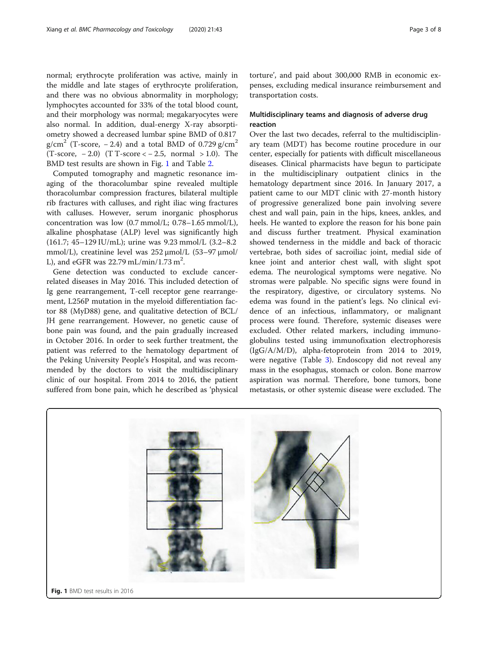normal; erythrocyte proliferation was active, mainly in the middle and late stages of erythrocyte proliferation, and there was no obvious abnormality in morphology; lymphocytes accounted for 33% of the total blood count, and their morphology was normal; megakaryocytes were also normal. In addition, dual-energy X-ray absorptiometry showed a decreased lumbar spine BMD of 0.817 g/cm<sup>2</sup> (T-score, -2.4) and a total BMD of 0.729 g/cm<sup>2</sup>  $(T-score, -2.0)$   $(T T-score < -2.5, normal > 1.0)$ . The BMD test results are shown in Fig. 1 and Table [2.](#page-3-0)

Computed tomography and magnetic resonance imaging of the thoracolumbar spine revealed multiple thoracolumbar compression fractures, bilateral multiple rib fractures with calluses, and right iliac wing fractures with calluses. However, serum inorganic phosphorus concentration was low (0.7 mmol/L; 0.78–1.65 mmol/L), alkaline phosphatase (ALP) level was significantly high (161.7; 45–129 IU/mL); urine was 9.23 mmol/L (3.2–8.2 mmol/L), creatinine level was 252 μmol/L (53–97 μmol/ L), and eGFR was  $22.79$  mL/min/1.73 m<sup>2</sup>.

Gene detection was conducted to exclude cancerrelated diseases in May 2016. This included detection of Ig gene rearrangement, T-cell receptor gene rearrangement, L256P mutation in the myeloid differentiation factor 88 (MyD88) gene, and qualitative detection of BCL/ JH gene rearrangement. However, no genetic cause of bone pain was found, and the pain gradually increased in October 2016. In order to seek further treatment, the patient was referred to the hematology department of the Peking University People's Hospital, and was recommended by the doctors to visit the multidisciplinary clinic of our hospital. From 2014 to 2016, the patient suffered from bone pain, which he described as 'physical

torture', and paid about 300,000 RMB in economic expenses, excluding medical insurance reimbursement and transportation costs.

### Multidisciplinary teams and diagnosis of adverse drug reaction

Over the last two decades, referral to the multidisciplinary team (MDT) has become routine procedure in our center, especially for patients with difficult miscellaneous diseases. Clinical pharmacists have begun to participate in the multidisciplinary outpatient clinics in the hematology department since 2016. In January 2017, a patient came to our MDT clinic with 27-month history of progressive generalized bone pain involving severe chest and wall pain, pain in the hips, knees, ankles, and heels. He wanted to explore the reason for his bone pain and discuss further treatment. Physical examination showed tenderness in the middle and back of thoracic vertebrae, both sides of sacroiliac joint, medial side of knee joint and anterior chest wall, with slight spot edema. The neurological symptoms were negative. No stromas were palpable. No specific signs were found in the respiratory, digestive, or circulatory systems. No edema was found in the patient's legs. No clinical evidence of an infectious, inflammatory, or malignant process were found. Therefore, systemic diseases were excluded. Other related markers, including immunoglobulins tested using immunofixation electrophoresis (IgG/A/M/D), alpha-fetoprotein from 2014 to 2019, were negative (Table [3](#page-3-0)). Endoscopy did not reveal any mass in the esophagus, stomach or colon. Bone marrow aspiration was normal. Therefore, bone tumors, bone metastasis, or other systemic disease were excluded. The

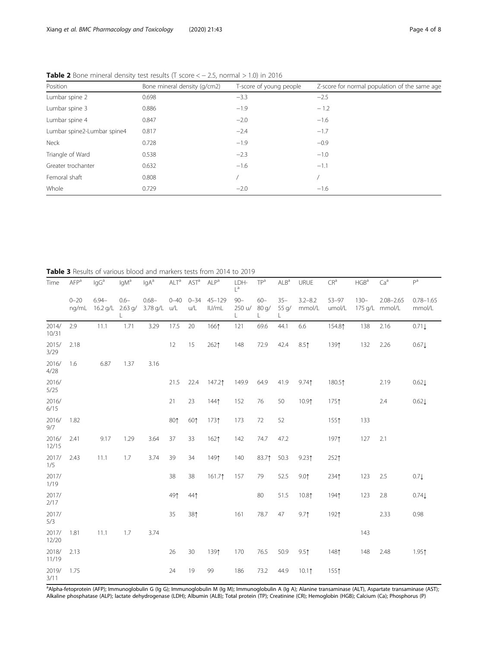| Position                    | Bone mineral density (g/cm2) | T-score of young people | Z-score for normal population of the same age |  |  |
|-----------------------------|------------------------------|-------------------------|-----------------------------------------------|--|--|
| Lumbar spine 2              | 0.698                        | $-3.3$                  | $-2.5$                                        |  |  |
| Lumbar spine 3              | 0.886                        | $-1.9$                  | $-1.2$                                        |  |  |
| Lumbar spine 4              | 0.847                        | $-2.0$                  | $-1.6$                                        |  |  |
| Lumbar spine2-Lumbar spine4 | 0.817                        | $-2.4$                  | $-1.7$                                        |  |  |
| Neck                        | 0.728                        | $-1.9$                  | $-0.9$                                        |  |  |
| Triangle of Ward            | 0.538                        | $-2.3$                  | $-1.0$                                        |  |  |
| Greater trochanter          | 0.632                        | $-1.6$                  | $-1.1$                                        |  |  |
| Femoral shaft               | 0.808                        |                         |                                               |  |  |
| Whole                       | 0.729                        | $-2.0$                  | $-1.6$                                        |  |  |

<span id="page-3-0"></span>Table 2 Bone mineral density test results (T score  $<-2.5$ , normal  $>1.0$ ) in 2016

Table 3 Results of various blood and markers tests from 2014 to 2019

| Time           | <b>AFP</b> <sup>a</sup> | $\lg G^a$              | lgM <sup>a</sup>     | lgA <sup>a</sup>     | $\mathsf{ALT}^{\mathsf{a}}$ | AST <sup>a</sup>         | ALP <sup>a</sup>    | LDH-<br>$L^a$    | TP <sup>a</sup>   | ALB <sup>a</sup>     | URUE                  | $CR^a$              | HGB <sup>a</sup> | Ca <sup>a</sup>                 | P <sup>a</sup>          |
|----------------|-------------------------|------------------------|----------------------|----------------------|-----------------------------|--------------------------|---------------------|------------------|-------------------|----------------------|-----------------------|---------------------|------------------|---------------------------------|-------------------------|
|                | $0 - 20$<br>ng/mL       | $6.94 -$<br>$16.2$ g/L | $0.6 -$<br>$2.63$ g/ | $0.68 -$<br>3.78 g/L | u/L                         | $0 - 40$ $0 - 34$<br>u/L | $45 - 129$<br>IU/mL | $90 -$<br>250 u/ | $60 -$<br>80 q/   | $35 -$<br>55 q/<br>L | $3.2 - 8.2$<br>mmol/L | $53 - 97$<br>umol/L | $130 -$          | $2.08 - 2.65$<br>175 g/L mmol/L | $0.78 - 1.65$<br>mmol/L |
| 2014/<br>10/31 | 2.9                     | 11.1                   | 1.71                 | 3.29                 | 17.5                        | 20                       | 1661                | 121              | 69.6              | 44.1                 | 6.6                   | 154.81              | 138              | 2.16                            | 0.71                    |
| 2015/<br>3/29  | 2.18                    |                        |                      |                      | 12                          | 15                       | 2621                | 148              | 72.9              | 42.4                 | 8.5 <sup>†</sup>      | 1391                | 132              | 2.26                            | 0.67 <sub>l</sub>       |
| 2016/<br>4/28  | 1.6                     | 6.87                   | 1.37                 | 3.16                 |                             |                          |                     |                  |                   |                      |                       |                     |                  |                                 |                         |
| 2016/<br>5/25  |                         |                        |                      |                      | 21.5                        | 22.4                     | 147.21              | 149.9            | 64.9              | 41.9                 | 9.741                 | 180.51              |                  | 2.19                            | 0.621                   |
| 2016/<br>6/15  |                         |                        |                      |                      | 21                          | 23                       | 1441                | 152              | 76                | 50                   | 10.91                 | 1751                |                  | 2.4                             | 0.621                   |
| 2016/<br>9/7   | 1.82                    |                        |                      |                      | 801                         | 601                      | 1731                | 173              | 72                | 52                   |                       | 1551                | 133              |                                 |                         |
| 2016/<br>12/15 | 2.41                    | 9.17                   | 1.29                 | 3.64                 | 37                          | 33                       | 1621                | 142              | 74.7              | 47.2                 |                       | 1971                | 127              | 2.1                             |                         |
| 2017/<br>1/5   | 2.43                    | 11.1                   | 1.7                  | 3.74                 | 39                          | 34                       | 1491                | 140              | 83.7 <sup>†</sup> | 50.3                 | 9.231                 | 2521                |                  |                                 |                         |
| 2017/<br>1/19  |                         |                        |                      |                      | 38                          | 38                       | 161.71              | 157              | 79                | 52.5                 | 9.01                  | 2341                | 123              | 2.5                             | $0.7\downarrow$         |
| 2017/<br>2/17  |                         |                        |                      |                      | 491                         | 441                      |                     |                  | 80                | 51.5                 | 10.81                 | 1941                | 123              | 2.8                             | 0.74                    |
| 2017/<br>5/3   |                         |                        |                      |                      | 35                          | 381                      |                     | 161              | 78.7              | 47                   | 9.7 <sup>†</sup>      | 1921                |                  | 2.33                            | 0.98                    |
| 2017/<br>12/20 | 1.81                    | 11.1                   | 1.7                  | 3.74                 |                             |                          |                     |                  |                   |                      |                       |                     | 143              |                                 |                         |
| 2018/<br>11/19 | 2.13                    |                        |                      |                      | 26                          | 30                       | 1391                | 170              | 76.5              | 50.9                 | 9.5 <sub>1</sub>      | 1481                | 148              | 2.48                            | 1.951                   |
| 2019/<br>3/11  | 1.75                    |                        |                      |                      | 24                          | 19                       | 99                  | 186              | 73.2              | 44.9                 | $10.1$ <sup>↑</sup>   | 1551                |                  |                                 |                         |

a<br>Alpha-fetoprotein (AFP); Immunoglobulin G (Ig G); Immunoglobulin M (Ig M); Immunoglobulin A (Ig A); Alanine transaminase (ALT), Aspartate transaminase (AST); Alkaline phosphatase (ALP); lactate dehydrogenase (LDH); Albumin (ALB); Total protein (TP); Creatinine (CR); Hemoglobin (HGB); Calcium (Ca); Phosphorus (P)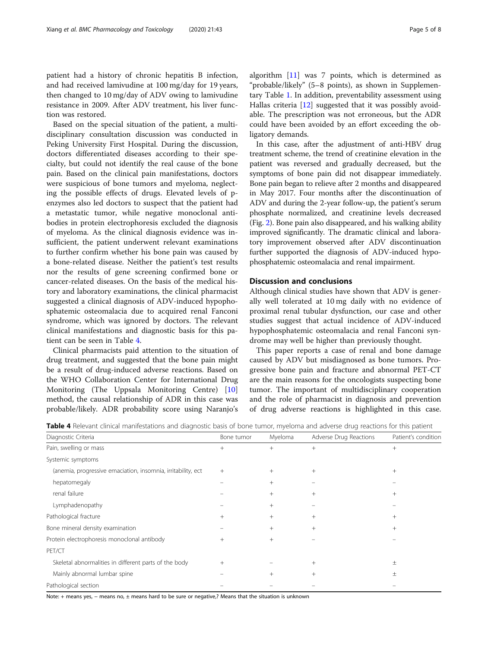patient had a history of chronic hepatitis B infection, and had received lamivudine at 100 mg/day for 19 years, then changed to 10 mg/day of ADV owing to lamivudine resistance in 2009. After ADV treatment, his liver function was restored.

Based on the special situation of the patient, a multidisciplinary consultation discussion was conducted in Peking University First Hospital. During the discussion, doctors differentiated diseases according to their specialty, but could not identify the real cause of the bone pain. Based on the clinical pain manifestations, doctors were suspicious of bone tumors and myeloma, neglecting the possible effects of drugs. Elevated levels of penzymes also led doctors to suspect that the patient had a metastatic tumor, while negative monoclonal antibodies in protein electrophoresis excluded the diagnosis of myeloma. As the clinical diagnosis evidence was insufficient, the patient underwent relevant examinations to further confirm whether his bone pain was caused by a bone-related disease. Neither the patient's test results nor the results of gene screening confirmed bone or cancer-related diseases. On the basis of the medical history and laboratory examinations, the clinical pharmacist suggested a clinical diagnosis of ADV-induced hypophosphatemic osteomalacia due to acquired renal Fanconi syndrome, which was ignored by doctors. The relevant clinical manifestations and diagnostic basis for this patient can be seen in Table 4.

Clinical pharmacists paid attention to the situation of drug treatment, and suggested that the bone pain might be a result of drug-induced adverse reactions. Based on the WHO Collaboration Center for International Drug Monitoring (The Uppsala Monitoring Centre) [[10](#page-6-0)] method, the causal relationship of ADR in this case was probable/likely. ADR probability score using Naranjo's

algorithm [\[11](#page-7-0)] was 7 points, which is determined as "probable/likely" (5–8 points), as shown in Supplementary Table [1](#page-6-0). In addition, preventability assessment using Hallas criteria [\[12](#page-7-0)] suggested that it was possibly avoidable. The prescription was not erroneous, but the ADR could have been avoided by an effort exceeding the obligatory demands.

In this case, after the adjustment of anti-HBV drug treatment scheme, the trend of creatinine elevation in the patient was reversed and gradually decreased, but the symptoms of bone pain did not disappear immediately. Bone pain began to relieve after 2 months and disappeared in May 2017. Four months after the discontinuation of ADV and during the 2-year follow-up, the patient's serum phosphate normalized, and creatinine levels decreased (Fig. [2](#page-5-0)). Bone pain also disappeared, and his walking ability improved significantly. The dramatic clinical and laboratory improvement observed after ADV discontinuation further supported the diagnosis of ADV-induced hypophosphatemic osteomalacia and renal impairment.

#### Discussion and conclusions

Although clinical studies have shown that ADV is generally well tolerated at 10 mg daily with no evidence of proximal renal tubular dysfunction, our case and other studies suggest that actual incidence of ADV-induced hypophosphatemic osteomalacia and renal Fanconi syndrome may well be higher than previously thought.

This paper reports a case of renal and bone damage caused by ADV but misdiagnosed as bone tumors. Progressive bone pain and fracture and abnormal PET-CT are the main reasons for the oncologists suspecting bone tumor. The important of multidisciplinary cooperation and the role of pharmacist in diagnosis and prevention of drug adverse reactions is highlighted in this case.

Table 4 Relevant clinical manifestations and diagnostic basis of bone tumor, myeloma and adverse drug reactions for this patient

| Diagnostic Criteria                                          | Bone tumor | Myeloma | Adverse Drug Reactions | Patient's condition |  |
|--------------------------------------------------------------|------------|---------|------------------------|---------------------|--|
| Pain, swelling or mass                                       | $^{+}$     | $^{+}$  | $^{+}$                 | $^{+}$              |  |
| Systemic symptoms                                            |            |         |                        |                     |  |
| (anemia, progressive emaciation, insomnia, irritability, ect | $^{+}$     | $^{+}$  | $^{+}$                 | $^+$                |  |
| hepatomegaly                                                 |            | $^{+}$  |                        |                     |  |
| renal failure                                                |            | $^{+}$  | $^{+}$                 | $^{+}$              |  |
| Lymphadenopathy                                              |            | $^{+}$  |                        |                     |  |
| Pathological fracture                                        | $^{+}$     | $^{+}$  | $^{+}$                 | $^+$                |  |
| Bone mineral density examination                             |            | $^{+}$  | $^{+}$                 | $^{+}$              |  |
| Protein electrophoresis monoclonal antibody                  | $^{+}$     | $^{+}$  |                        |                     |  |
| PET/CT                                                       |            |         |                        |                     |  |
| Skeletal abnormalities in different parts of the body        | $+$        |         | $^{+}$                 | 土                   |  |
| Mainly abnormal lumbar spine                                 |            | $^{+}$  | $^{+}$                 | 土                   |  |
| Pathological section                                         |            |         |                        |                     |  |
|                                                              |            |         |                        |                     |  |

Note: + means yes, − means no, ± means hard to be sure or negative,? Means that the situation is unknown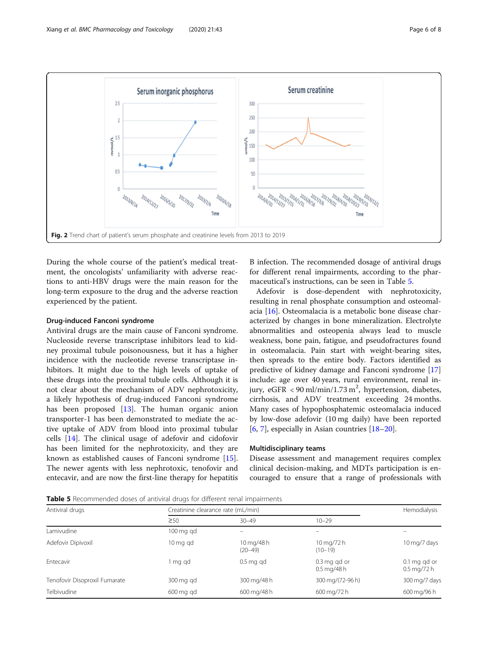<span id="page-5-0"></span>

During the whole course of the patient's medical treatment, the oncologists' unfamiliarity with adverse reactions to anti-HBV drugs were the main reason for the long-term exposure to the drug and the adverse reaction experienced by the patient.

#### Drug-induced Fanconi syndrome

Antiviral drugs are the main cause of Fanconi syndrome. Nucleoside reverse transcriptase inhibitors lead to kidney proximal tubule poisonousness, but it has a higher incidence with the nucleotide reverse transcriptase inhibitors. It might due to the high levels of uptake of these drugs into the proximal tubule cells. Although it is not clear about the mechanism of ADV nephrotoxicity, a likely hypothesis of drug-induced Fanconi syndrome has been proposed [[13](#page-7-0)]. The human organic anion transporter-1 has been demonstrated to mediate the active uptake of ADV from blood into proximal tubular cells [\[14](#page-7-0)]. The clinical usage of adefovir and cidofovir has been limited for the nephrotoxicity, and they are known as established causes of Fanconi syndrome [\[15](#page-7-0)]. The newer agents with less nephrotoxic, tenofovir and entecavir, and are now the first-line therapy for hepatitis

B infection. The recommended dosage of antiviral drugs for different renal impairments, according to the pharmaceutical's instructions, can be seen in Table 5.

Adefovir is dose-dependent with nephrotoxicity, resulting in renal phosphate consumption and osteomalacia [[16](#page-7-0)]. Osteomalacia is a metabolic bone disease characterized by changes in bone mineralization. Electrolyte abnormalities and osteopenia always lead to muscle weakness, bone pain, fatigue, and pseudofractures found in osteomalacia. Pain start with weight-bearing sites, then spreads to the entire body. Factors identified as predictive of kidney damage and Fanconi syndrome [[17](#page-7-0)] include: age over 40 years, rural environment, renal injury, eGFR < 90 ml/min/1.73 m<sup>2</sup>, hypertension, diabetes, cirrhosis, and ADV treatment exceeding 24 months. Many cases of hypophosphatemic osteomalacia induced by low-dose adefovir (10 mg daily) have been reported [[6,](#page-6-0) [7\]](#page-6-0), especially in Asian countries [[18](#page-7-0)–[20](#page-7-0)].

#### Multidisciplinary teams

Disease assessment and management requires complex clinical decision-making, and MDTs participation is encouraged to ensure that a range of professionals with

Table 5 Recommended doses of antiviral drugs for different renal impairments

| Antiviral drugs               | Creatinine clearance rate (mL/min) | Hemodialysis              |                                                       |                                                       |
|-------------------------------|------------------------------------|---------------------------|-------------------------------------------------------|-------------------------------------------------------|
|                               | $\geq 50$                          | $30 - 49$                 | $10 - 29$                                             |                                                       |
| Lamivudine                    | $100 \,\mathrm{mg}$ gd             |                           |                                                       |                                                       |
| Adefovir Dipivoxil            | 10 mg gd                           | 10 mg/48 h<br>$(20 - 49)$ | 10 mg/72 h<br>$(10-19)$                               | 10 mg/7 days                                          |
| Entecavir                     | 1 mg gd                            | $0.5$ mg gd               | $0.3$ mg gd or<br>$0.5 \,\mathrm{mq}/48 \,\mathrm{h}$ | $0.1$ mg gd or<br>$0.5 \,\mathrm{mq}/72 \,\mathrm{h}$ |
| Tenofovir Disoproxil Fumarate | 300 mg gd                          | 300 mg/48 h               | 300 mg/(72-96 h)                                      | 300 mg/7 days                                         |
| Telbivudine                   | 600 mg gd                          | 600 mg/48 h               | 600 mg/72 h                                           | 600 mg/96 h                                           |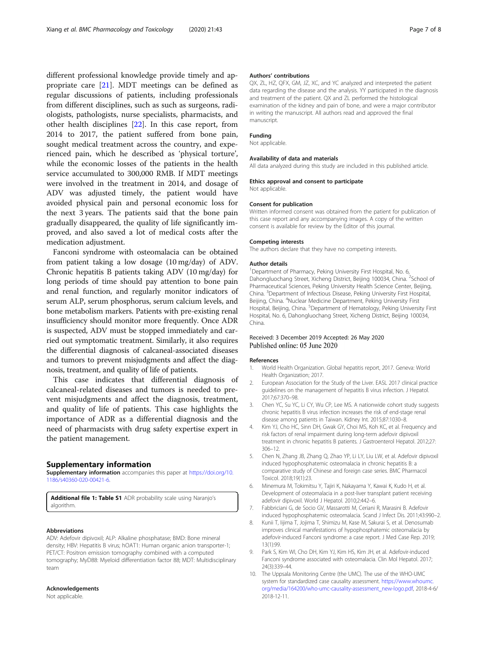<span id="page-6-0"></span>different professional knowledge provide timely and appropriate care [\[21\]](#page-7-0). MDT meetings can be defined as regular discussions of patients, including professionals from different disciplines, such as such as surgeons, radiologists, pathologists, nurse specialists, pharmacists, and other health disciplines [[22](#page-7-0)]. In this case report, from 2014 to 2017, the patient suffered from bone pain, sought medical treatment across the country, and experienced pain, which he described as 'physical torture', while the economic losses of the patients in the health service accumulated to 300,000 RMB. If MDT meetings were involved in the treatment in 2014, and dosage of ADV was adjusted timely, the patient would have avoided physical pain and personal economic loss for the next 3 years. The patients said that the bone pain gradually disappeared, the quality of life significantly improved, and also saved a lot of medical costs after the medication adjustment.

Fanconi syndrome with osteomalacia can be obtained from patient taking a low dosage (10 mg/day) of ADV. Chronic hepatitis B patients taking ADV (10 mg/day) for long periods of time should pay attention to bone pain and renal function, and regularly monitor indicators of serum ALP, serum phosphorus, serum calcium levels, and bone metabolism markers. Patients with pre-existing renal insufficiency should monitor more frequently. Once ADR is suspected, ADV must be stopped immediately and carried out symptomatic treatment. Similarly, it also requires the differential diagnosis of calcaneal-associated diseases and tumors to prevent misjudgments and affect the diagnosis, treatment, and quality of life of patients.

This case indicates that differential diagnosis of calcaneal-related diseases and tumors is needed to prevent misjudgments and affect the diagnosis, treatment, and quality of life of patients. This case highlights the importance of ADR as a differential diagnosis and the need of pharmacists with drug safety expertise expert in the patient management.

#### Supplementary information

Supplementary information accompanies this paper at [https://doi.org/10.](https://doi.org/10.1186/s40360-020-00421-6) [1186/s40360-020-00421-6](https://doi.org/10.1186/s40360-020-00421-6).

Additional file 1: Table S1 ADR probability scale using Naranjo's algorithm.

#### Abbreviations

ADV: Adefovir dipivoxil; ALP: Alkaline phosphatase; BMD: Bone mineral density; HBV: Hepatitis B virus; hOAT1: Human organic anion transporter-1; PET/CT: Positron emission tomography combined with a computed tomography; MyD88: Myeloid differentiation factor 88; MDT: Multidisciplinary team

#### Acknowledgements

Not applicable.

#### Authors' contributions

QX, ZL, HZ, QFX, GM, JZ, XC, and YC analyzed and interpreted the patient data regarding the disease and the analysis. YY participated in the diagnosis and treatment of the patient. QX and ZL performed the histological examination of the kidney and pain of bone, and were a major contributor in writing the manuscript. All authors read and approved the final manuscript.

#### Funding

Not applicable.

#### Availability of data and materials

All data analyzed during this study are included in this published article.

#### Ethics approval and consent to participate

Not applicable.

#### Consent for publication

Written informed consent was obtained from the patient for publication of this case report and any accompanying images. A copy of the written consent is available for review by the Editor of this journal.

#### Competing interests

The authors declare that they have no competing interests.

#### Author details

<sup>1</sup>Department of Pharmacy, Peking University First Hospital, No. 6 Dahongluochang Street, Xicheng District, Beijing 100034, China. <sup>2</sup>School of Pharmaceutical Sciences, Peking University Health Science Center, Beijing, China. <sup>3</sup> Department of Infectious Disease, Peking University First Hospital, Beijing, China. <sup>4</sup>Nuclear Medicine Department, Peking University First Hospital, Beijing, China. <sup>5</sup>Department of Hematology, Peking University First Hospital, No. 6, Dahongluochang Street, Xicheng District, Beijing 100034, China.

#### Received: 3 December 2019 Accepted: 26 May 2020 Published online: 05 June 2020

#### References

- 1. World Health Organization. Global hepatitis report, 2017. Geneva: World Health Organization; 2017.
- 2. European Association for the Study of the Liver. EASL 2017 clinical practice guidelines on the management of hepatitis B virus infection. J Hepatol. 2017;67:370–98.
- 3. Chen YC, Su YC, Li CY, Wu CP, Lee MS. A nationwide cohort study suggests chronic hepatitis B virus infection increases the risk of end-stage renal disease among patients in Taiwan. Kidney Int. 2015;87:1030–8.
- Kim YJ, Cho HC, Sinn DH, Gwak GY, Choi MS, Koh KC, et al. Frequency and risk factors of renal impairment during long-term adefovir dipivoxil treatment in chronic hepatitis B patients. J Gastroenterol Hepatol. 2012;27: 306–12.
- 5. Chen N, Zhang JB, Zhang Q, Zhao YP, Li LY, Liu LW, et al. Adefovir dipivoxil induced hypophosphatemic osteomalacia in chronic hepatitis B: a comparative study of Chinese and foreign case series. BMC Pharmacol Toxicol. 2018;19(1):23.
- 6. Minemura M, Tokimitsu Y, Tajiri K, Nakayama Y, Kawai K, Kudo H, et al. Development of osteomalacia in a post-liver transplant patient receiving adefovir dipivoxil. World J Hepatol. 2010;2:442–6.
- 7. Fabbriciani G, de Socio GV, Massarotti M, Ceriani R, Marasini B. Adefovir induced hypophosphatemic osteomalacia. Scand J Infect Dis. 2011;43:990–2.
- 8. Kunii T, Iijima T, Jojima T, Shimizu M, Kase M, Sakurai S, et al. Denosumab improves clinical manifestations of hypophosphatemic osteomalacia by adefovir-induced Fanconi syndrome: a case report. J Med Case Rep. 2019; 13(1):99.
- 9. Park S, Kim WI, Cho DH, Kim YJ, Kim HS, Kim JH, et al. Adefovir-induced Fanconi syndrome associated with osteomalacia. Clin Mol Hepatol. 2017; 24(3):339–44.
- 10. The Uppsala Monitoring Centre (the UMC). The use of the WHO-UMC system for standardized case causality assessment. [https://www.whoumc.](https://www.whoumc.org/media/164200/who-umc-causality-assessment_new-logo.pdf) [org/media/164200/who-umc-causality-assessment\\_new-logo.pdf](https://www.whoumc.org/media/164200/who-umc-causality-assessment_new-logo.pdf), 2018-4-6/ 2018-12-11.